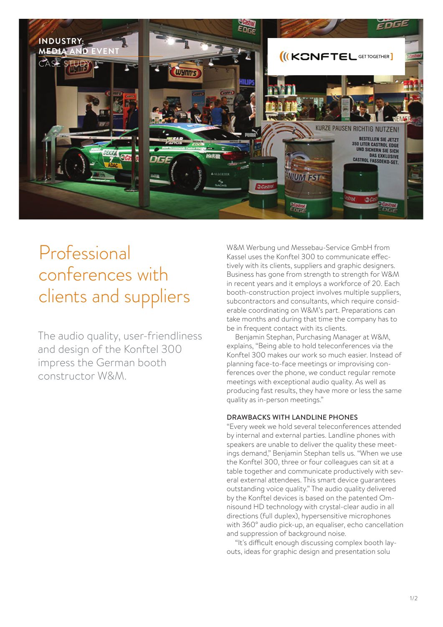

# Professional conferences with clients and suppliers

The audio quality, user-friendliness and design of the Konftel 300 impress the German booth constructor W&M.

W&M Werbung und Messebau-Service GmbH from Kassel uses the Konftel 300 to communicate effectively with its clients, suppliers and graphic designers. Business has gone from strength to strength for W&M in recent years and it employs a workforce of 20. Each booth-construction project involves multiple suppliers, subcontractors and consultants, which require considerable coordinating on W&M's part. Preparations can take months and during that time the company has to be in frequent contact with its clients.

Benjamin Stephan, Purchasing Manager at W&M, explains, "Being able to hold teleconferences via the Konftel 300 makes our work so much easier. Instead of planning face-to-face meetings or improvising conferences over the phone, we conduct regular remote meetings with exceptional audio quality. As well as producing fast results, they have more or less the same quality as in-person meetings."

## DRAWBACKS WITH LANDLINE PHONES

"Every week we hold several teleconferences attended by internal and external parties. Landline phones with speakers are unable to deliver the quality these meetings demand," Benjamin Stephan tells us. "When we use the Konftel 300, three or four colleagues can sit at a table together and communicate productively with several external attendees. This smart device guarantees outstanding voice quality." The audio quality delivered by the Konftel devices is based on the patented Omnisound HD technology with crystal-clear audio in all directions (full duplex), hypersensitive microphones with 360° audio pick-up, an equaliser, echo cancellation and suppression of background noise.

"It's difficult enough discussing complex booth layouts, ideas for graphic design and presentation solu